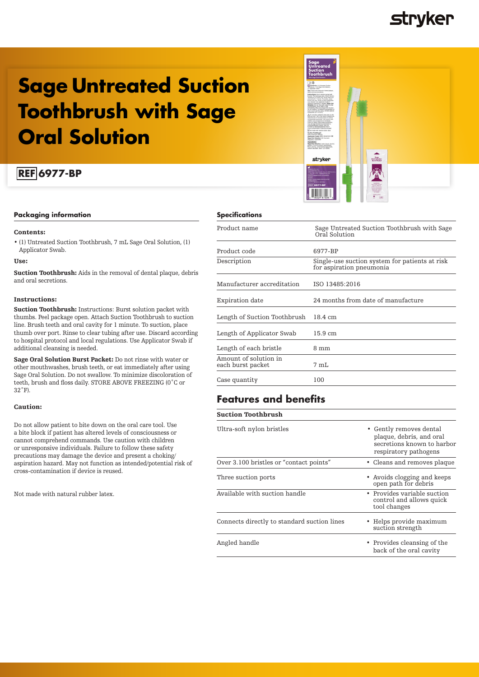

## **Sage Untreated Suction Toothbrush with Sage Oral Solution**

## **REF 6977-BP**

## **Packaging information**

### Contents:

• (1) Untreated Suction Toothbrush, 7 mL Sage Oral Solution, (1) Applicator Swab.

## Use:

Suction Toothbrush: Aids in the removal of dental plaque, debris and oral secretions.

### Instructions:

Suction Toothbrush: Instructions: Burst solution packet with thumbs. Peel package open. Attach Suction Toothbrush to suction line. Brush teeth and oral cavity for 1 minute. To suction, place thumb over port. Rinse to clear tubing after use. Discard according to hospital protocol and local regulations. Use Applicator Swab if additional cleansing is needed.

Sage Oral Solution Burst Packet: Do not rinse with water or other mouthwashes, brush teeth, or eat immediately after using Sage Oral Solution. Do not swallow. To minimize discoloration of teeth, brush and floss daily. STORE ABOVE FREEZING (0˚C or 32˚F).

### Caution:

Do not allow patient to bite down on the oral care tool. Use a bite block if patient has altered levels of consciousness or cannot comprehend commands. Use caution with children or unresponsive individuals. Failure to follow these safety precautions may damage the device and present a choking/ aspiration hazard. May not function as intended/potential risk of cross-contamination if device is reused.

Not made with natural rubber latex.

## **Specifications**

| Product name                               | Sage Untreated Suction Toothbrush with Sage<br>Oral Solution               |
|--------------------------------------------|----------------------------------------------------------------------------|
| Product code                               | 6977-BP                                                                    |
| Description                                | Single-use suction system for patients at risk<br>for aspiration pneumonia |
| Manufacturer accreditation                 | ISO 13485:2016                                                             |
| Expiration date                            | 24 months from date of manufacture                                         |
| Length of Suction Toothbrush               | $18.4 \text{ cm}$                                                          |
| Length of Applicator Swab                  | $15.9 \text{ cm}$                                                          |
| Length of each bristle                     | 8 mm                                                                       |
| Amount of solution in<br>each burst packet | 7 mI.                                                                      |
| Case quantity                              | 100                                                                        |

stryker

Oral Solution<br>Burst Pasket

## **Features and benefits**

| Ultra-soft nylon bristles                   | • Gently removes dental<br>plaque, debris, and oral<br>secretions known to harbor<br>respiratory pathogens |
|---------------------------------------------|------------------------------------------------------------------------------------------------------------|
| Over 3.100 bristles or "contact points"     | • Cleans and removes plaque                                                                                |
| Three suction ports                         | • Avoids clogging and keeps<br>open path for debris                                                        |
| Available with suction handle               | • Provides variable suction<br>control and allows quick<br>tool changes                                    |
| Connects directly to standard suction lines | • Helps provide maximum<br>suction strength                                                                |
| Angled handle                               | • Provides cleansing of the<br>back of the oral cavity                                                     |